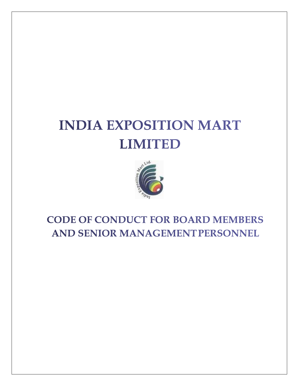# **INDIA EXPOSITION MART LIMITED**



# **CODE OF CONDUCT FOR BOARD MEMBERS AND SENIOR MANAGEMENT PERSONNEL**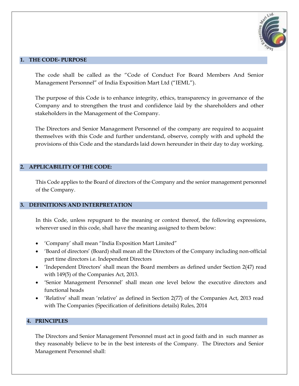

# **1. THE CODE- PURPOSE**

The code shall be called as the "Code of Conduct For Board Members And Senior Management Personnel" of India Exposition Mart Ltd ("IEML").

The purpose of this Code is to enhance integrity, ethics, transparency in governance of the Company and to strengthen the trust and confidence laid by the shareholders and other stakeholders in the Management of the Company.

The Directors and Senior Management Personnel of the company are required to acquaint themselves with this Code and further understand, observe, comply with and uphold the provisions of this Code and the standards laid down hereunder in their day to day working.

#### **2. APPLICABILITY OF THE CODE:**

This Code applies to the Board of directors of the Company and the senior management personnel of the Company.

#### **3. DEFINITIONS AND INTERPRETATION**

In this Code, unless repugnant to the meaning or context thereof, the following expressions, wherever used in this code, shall have the meaning assigned to them below:

- 'Company' shall mean "India Exposition Mart Limited"
- 'Board of directors' (Board) shall mean all the Directors of the Company including non-official part time directors i.e. Independent Directors
- 'Independent Directors' shall mean the Board members as defined under Section 2(47) read with 149(5) of the Companies Act, 2013.
- 'Senior Management Personnel' shall mean one level below the executive directors and functional heads
- 'Relative' shall mean 'relative' as defined in Section 2(77) of the Companies Act, 2013 read with The Companies (Specification of definitions details) Rules, 2014

# **4. PRINCIPLES**

The Directors and Senior Management Personnel must act in good faith and in such manner as they reasonably believe to be in the best interests of the Company. The Directors and Senior Management Personnel shall: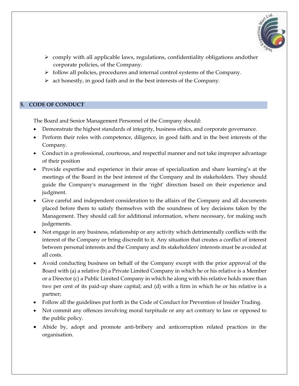

- $\triangleright$  comply with all applicable laws, regulations, confidentiality obligations andother corporate policies, of the Company.
- ➢ follow all policies, procedures and internal control systems of the Company.
- ➢ act honestly, in good faith and in the best interests of the Company.

# **5. CODE OF CONDUCT**

The Board and Senior Management Personnel of the Company should:

- Demonstrate the highest standards of integrity, business ethics, and corporate governance.
- Perform their roles with competence, diligence, in good faith and in the best interests of the Company.
- Conduct in a professional, courteous, and respectful manner and not take improper advantage of their position
- Provide expertise and experience in their areas of specialization and share learning's at the meetings of the Board in the best interest of the Company and its stakeholders. They should guide the Company's management in the 'right' direction based on their experience and judgment.
- Give careful and independent consideration to the affairs of the Company and all documents placed before them to satisfy themselves with the soundness of key decisions taken by the Management. They should call for additional information, where necessary, for making such judgements.
- Not engage in any business, relationship or any activity which detrimentally conflicts with the interest of the Company or bring discredit to it. Any situation that creates a conflict of interest between personal interests and the Company and its stakeholders' interests must be avoided at all costs.
- Avoid conducting business on behalf of the Company except with the prior approval of the Board with (a) a relative (b) a Private Limited Company in which he or his relative is a Member or a Director (c) a Public Limited Company in which he along with his relative holds more than two per cent of its paid-up share capital; and (d) with a firm in which he or his relative is a partner;
- Follow all the guidelines put forth in the Code of Conduct for Prevention of Insider Trading.
- Not commit any offences involving moral turpitude or any act contrary to law or opposed to the public policy.
- Abide by, adopt and promote anti-bribery and anticorruption related practices in the organisation.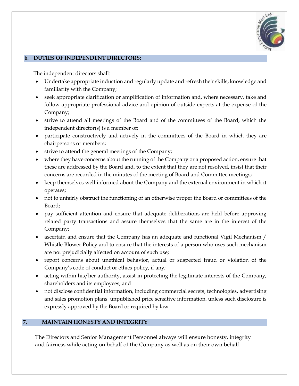

#### **6. DUTIES OF INDEPENDENT DIRECTORS:**

The independent directors shall:

- Undertake appropriate induction and regularly update and refresh their skills, knowledge and familiarity with the Company;
- seek appropriate clarification or amplification of information and, where necessary, take and follow appropriate professional advice and opinion of outside experts at the expense of the Company;
- strive to attend all meetings of the Board and of the committees of the Board, which the independent director(s) is a member of;
- participate constructively and actively in the committees of the Board in which they are chairpersons or members;
- strive to attend the general meetings of the Company;
- where they have concerns about the running of the Company or a proposed action, ensure that these are addressed by the Board and, to the extent that they are not resolved, insist that their concerns are recorded in the minutes of the meeting of Board and Committee meetings;
- keep themselves well informed about the Company and the external environment in which it operates;
- not to unfairly obstruct the functioning of an otherwise proper the Board or committees of the Board;
- pay sufficient attention and ensure that adequate deliberations are held before approving related party transactions and assure themselves that the same are in the interest of the Company;
- ascertain and ensure that the Company has an adequate and functional Vigil Mechanism / Whistle Blower Policy and to ensure that the interests of a person who uses such mechanism are not prejudicially affected on account of such use;
- report concerns about unethical behavior, actual or suspected fraud or violation of the Company's code of conduct or ethics policy, if any;
- acting within his/her authority, assist in protecting the legitimate interests of the Company, shareholders and its employees; and
- not disclose confidential information, including commercial secrets, technologies, advertising and sales promotion plans, unpublished price sensitive information, unless such disclosure is expressly approved by the Board or required by law.

# **7. MAINTAIN HONESTY AND INTEGRITY**

The Directors and Senior Management Personnel always will ensure honesty, integrity and fairness while acting on behalf of the Company as well as on their own behalf.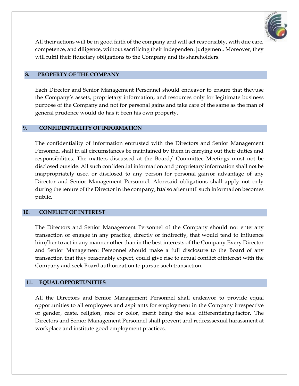

All their actions will be in good faith of the company and will act responsibly, with due care, competence, and diligence, without sacrificing their independent judgement. Moreover, they will fulfil their fiduciary obligations to the Company and its shareholders.

# **8. PROPERTY OF THE COMPANY**

Each Director and Senior Management Personnel should endeavor to ensure that theyuse the Company's assets, proprietary information, and resources only for legitimate business purpose of the Company and not for personal gains and take care of the same as the man of general prudence would do has it been his own property.

# **9. CONFIDENTIALITY OF INFORMATION**

The confidentiality of information entrusted with the Directors and Senior Management Personnel shall in all circumstances be maintained by them in carrying out their duties and responsibilities. The matters discussed at the Board/ Committee Meetings must not be disclosed outside. All such confidential information and proprietary information shall not be inappropriately used or disclosed to any person for personal gain or advantage of any Director and Senior Management Personnel. Aforesaid obligations shall apply not only during the tenure of the Director in the company, batalso after until such information becomes public.

#### **10. CONFLICT OF INTEREST**

The Directors and Senior Management Personnel of the Company should not enter any transaction or engage in any practice, directly or indirectly, that would tend to influence him/her to act in any manner other than in the best interests of the Company.Every Director and Senior Management Personnel should make a full disclosure to the Board of any transaction that they reasonably expect, could give rise to actual conflict ofinterest with the Company and seek Board authorization to pursue such transaction.

# **11. EQUAL OPPORTUNITIES**

All the Directors and Senior Management Personnel shall endeavor to provide equal opportunities to all employees and aspirants for employment in the Company irrespective of gender, caste, religion, race or color, merit being the sole differentiating factor. The Directors and Senior Management Personnel shall prevent and redresssexual harassment at workplace and institute good employment practices.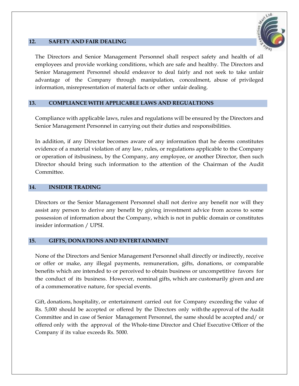

# **12. SAFETY AND FAIR DEALING**

The Directors and Senior Management Personnel shall respect safety and health of all employees and provide working conditions, which are safe and healthy. The Directors and Senior Management Personnel should endeavor to deal fairly and not seek to take unfair advantage of the Company through manipulation, concealment, abuse of privileged information, misrepresentation of material facts or other unfair dealing.

# **13. COMPLIANCE WITH APPLICABLE LAWS AND REGUALTIONS**

Compliance with applicable laws, rules and regulations will be ensured by the Directors and Senior Management Personnel in carrying out their duties and responsibilities.

In addition, if any Director becomes aware of any information that he deems constitutes evidence of a material violation of any law, rules, or regulations applicable to the Company or operation of itsbusiness, by the Company, any employee, or another Director, then such Director should bring such information to the attention of the Chairman of the Audit Committee.

#### **14. INSIDER TRADING**

Directors or the Senior Management Personnel shall not derive any benefit nor will they assist any person to derive any benefit by giving investment advice from access to some possession of information about the Company, which is not in public domain or constitutes insider information / UPSI.

#### **15. GIFTS, DONATIONS AND ENTERTAINMENT**

None of the Directors and Senior Management Personnel shall directly or indirectly, receive or offer or make, any illegal payments, remuneration, gifts, donations, or comparable benefits which are intended to or perceived to obtain business or uncompetitive favors for the conduct of its business. However, nominal gifts, which are customarily given and are of a commemorative nature, for special events.

Gift, donations, hospitality, or entertainment carried out for Company exceeding the value of Rs. 5,000 should be accepted or offered by the Directors only with the approval of the Audit Committee and in case of Senior Management Personnel, the same should be accepted and/ or offered only with the approval of the Whole-time Director and Chief Executive Officer of the Company if its value exceeds Rs. 5000.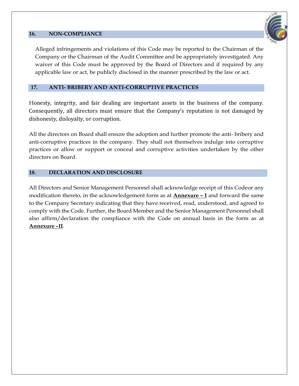#### **16. NON-COMPLIANCE**



Alleged infringements and violations of this Code may be reported to the Chairman of the Company or the Chairman of the Audit Committee and be appropriately investigated. Any waiver of this Code must be approved by the Board of Directors and if required by any applicable law or act, be publicly disclosed in the manner prescribed by the law or act.

# **17. ANTI- BRIBERY AND ANTI-CORRUPTIVE PRACTICES**

Honesty, integrity, and fair dealing are important assets in the business of the company. Consequently, all directors must ensure that the Company's reputation is not damaged by dishonesty, disloyalty, or corruption.

All the directors on Board shall ensure the adoption and further promote the anti- bribery and anti-corruptive practices in the company. They shall not themselves indulge into corruptive practices or allow or support or conceal and corruptive activities undertaken by the other directors on Board.

# **18. DECLARATION AND DISCLOSURE**

All Directors and Senior Management Personnel shall acknowledge receipt of this Codeor any modification thereto, in the acknowledgement form as at **Annexure** *–* **I** and forward the same to the Company Secretary indicating that they have received, read, understood, and agreed to comply with the Code. Further, the Board Member and the Senior Management Personnel shall also affirm/declaration the compliance with the Code on annual basis in the form as at **Annexure** *–***II**.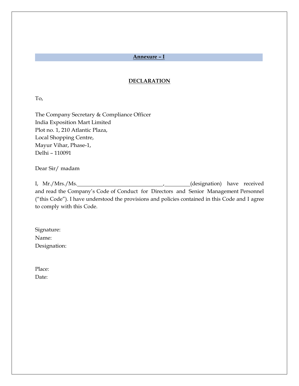#### **Annexure** *–* **I**

#### **DECLARATION**

To,

The Company Secretary & Compliance Officer India Exposition Mart Limited Plot no. 1, 210 Atlantic Plaza, Local Shopping Centre, Mayur Vihar, Phase-1, Delhi – 110091

Dear Sir/ madam

I, Mr./Mrs./Ms. (designation) have received and read the Company's Code of Conduct for Directors and Senior Management Personnel ("this Code"). I have understood the provisions and policies contained in this Code and I agree to comply with this Code.

Signature: Name: Designation:

Place: Date: